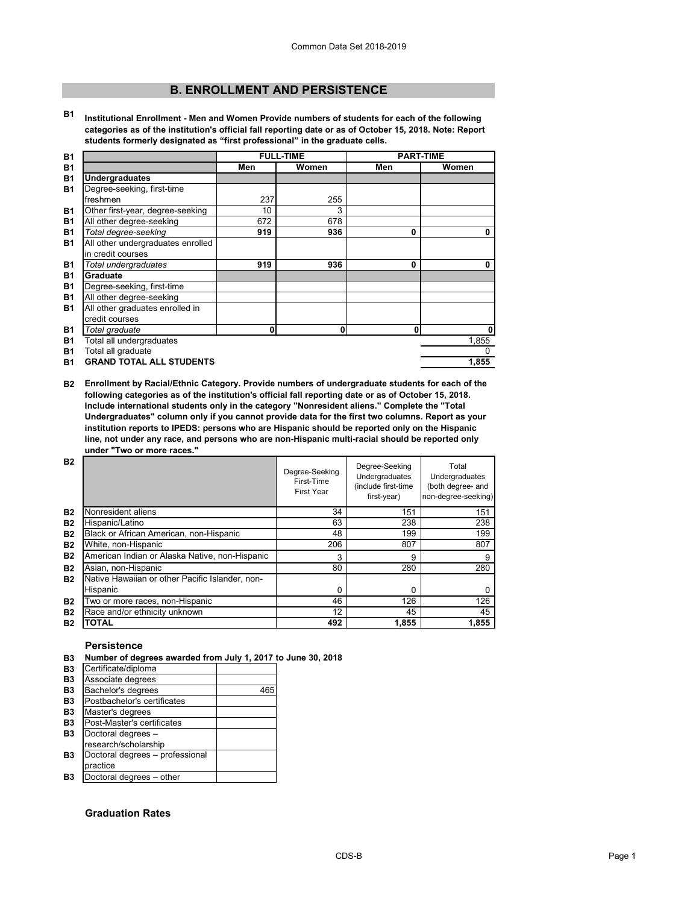# **B. ENROLLMENT AND PERSISTENCE**

**B1 Institutional Enrollment - Men and Women Provide numbers of students for each of the following categories as of the institution's official fall reporting date or as of October 15, 2018. Note: Report students formerly designated as "first professional" in the graduate cells.**

| <b>B1</b> |                                   | <b>FULL-TIME</b> |       | <b>PART-TIME</b> |              |
|-----------|-----------------------------------|------------------|-------|------------------|--------------|
| <b>B1</b> |                                   | Men              | Women | Men              | Women        |
| <b>B1</b> | <b>Undergraduates</b>             |                  |       |                  |              |
| <b>B1</b> | Degree-seeking, first-time        |                  |       |                  |              |
|           | freshmen                          | 237              | 255   |                  |              |
| <b>B1</b> | Other first-year, degree-seeking  | 10               | 3     |                  |              |
| <b>B1</b> | All other degree-seeking          | 672              | 678   |                  |              |
| <b>B1</b> | Total degree-seeking              | 919              | 936   | $\bf{0}$         | $\mathbf{0}$ |
| <b>B1</b> | All other undergraduates enrolled |                  |       |                  |              |
|           | in credit courses                 |                  |       |                  |              |
| <b>B1</b> | Total undergraduates              | 919              | 936   | $\bf{0}$         | 0            |
| <b>B1</b> | <b>Graduate</b>                   |                  |       |                  |              |
| <b>B1</b> | Degree-seeking, first-time        |                  |       |                  |              |
| <b>B1</b> | All other degree-seeking          |                  |       |                  |              |
| <b>B1</b> | All other graduates enrolled in   |                  |       |                  |              |
|           | credit courses                    |                  |       |                  |              |
| <b>B1</b> | Total graduate                    | $\mathbf 0$      | 0     | $\mathbf 0$      | 0            |
| <b>B1</b> | Total all undergraduates          |                  |       |                  | 1,855        |
| <b>B1</b> | Total all graduate                |                  |       |                  | $\mathbf{0}$ |
| <b>B1</b> | <b>GRAND TOTAL ALL STUDENTS</b>   |                  |       |                  | 1,855        |

**B2 Enrollment by Racial/Ethnic Category. Provide numbers of undergraduate students for each of the following categories as of the institution's official fall reporting date or as of October 15, 2018. Include international students only in the category "Nonresident aliens." Complete the "Total Undergraduates" column only if you cannot provide data for the first two columns. Report as your institution reports to IPEDS: persons who are Hispanic should be reported only on the Hispanic line, not under any race, and persons who are non-Hispanic multi-racial should be reported only under "Two or more races."** 

| <b>B2</b> |                                                 | Degree-Seeking<br>First-Time<br><b>First Year</b> | Degree-Seeking<br>Undergraduates<br>(include first-time<br>first-year) | Total<br>Undergraduates<br>(both degree- and<br>non-degree-seeking) |
|-----------|-------------------------------------------------|---------------------------------------------------|------------------------------------------------------------------------|---------------------------------------------------------------------|
| <b>B2</b> | Nonresident aliens                              | 34                                                | 151                                                                    | 151                                                                 |
| <b>B2</b> | Hispanic/Latino                                 | 63                                                | 238                                                                    | 238                                                                 |
| <b>B2</b> | Black or African American, non-Hispanic         | 48                                                | 199                                                                    | 199                                                                 |
| <b>B2</b> | White, non-Hispanic                             | 206                                               | 807                                                                    | 807                                                                 |
| <b>B2</b> | American Indian or Alaska Native, non-Hispanic  | 3                                                 | 9                                                                      | 9                                                                   |
| <b>B2</b> | Asian, non-Hispanic                             | 80                                                | 280                                                                    | 280                                                                 |
| <b>B2</b> | Native Hawaiian or other Pacific Islander, non- |                                                   |                                                                        |                                                                     |
|           | Hispanic                                        | 0                                                 | 0                                                                      | 0                                                                   |
| <b>B2</b> | Two or more races, non-Hispanic                 | 46                                                | 126                                                                    | 126                                                                 |
| <b>B2</b> | Race and/or ethnicity unknown                   | 12                                                | 45                                                                     | 45                                                                  |
| <b>B2</b> | <b>TOTAL</b>                                    | 492                                               | 1,855                                                                  | 1,855                                                               |

# **Persistence**

**B3 Number of degrees awarded from July 1, 2017 to June 30, 2018**

| Certificate/diploma             |     |
|---------------------------------|-----|
| Associate degrees               |     |
| Bachelor's degrees              | 465 |
| Postbachelor's certificates     |     |
| Master's degrees                |     |
| Post-Master's certificates      |     |
| Doctoral degrees -              |     |
| research/scholarship            |     |
| Doctoral degrees - professional |     |
| practice                        |     |
| Doctoral degrees - other        |     |

# **Graduation Rates**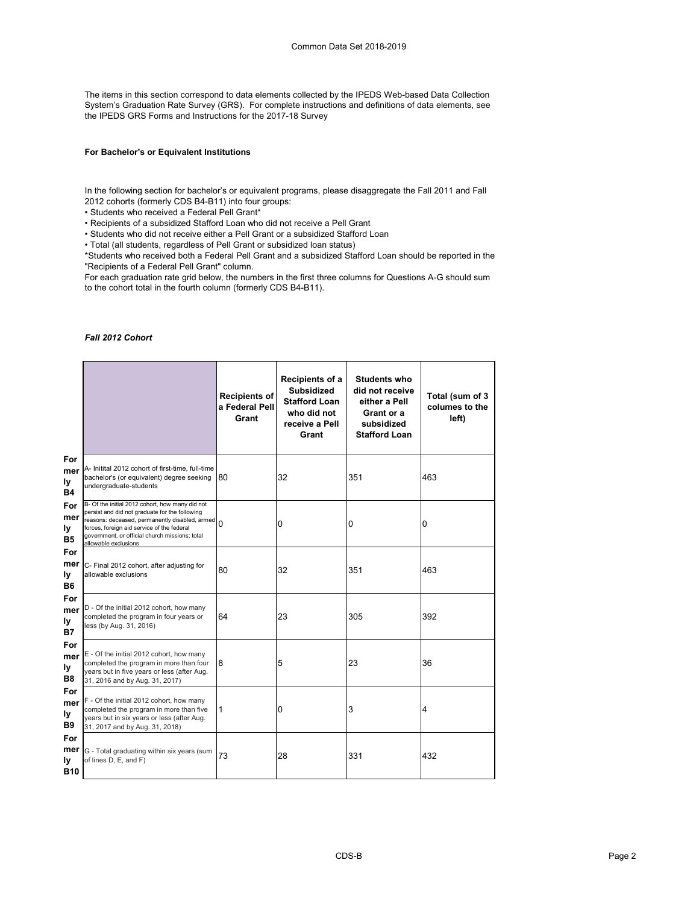The items in this section correspond to data elements collected by the IPEDS Web-based Data Collection System's Graduation Rate Survey (GRS). For complete instructions and definitions of data elements, see the IPEDS GRS Forms and Instructions for the 2017-18 Survey

## **For Bachelor's or Equivalent Institutions**

In the following section for bachelor's or equivalent programs, please disaggregate the Fall 2011 and Fall 2012 cohorts (formerly CDS B4-B11) into four groups:

• Students who received a Federal Pell Grant\*

• Recipients of a subsidized Stafford Loan who did not receive a Pell Grant

• Students who did not receive either a Pell Grant or a subsidized Stafford Loan

• Total (all students, regardless of Pell Grant or subsidized loan status)

\*Students who received both a Federal Pell Grant and a subsidized Stafford Loan should be reported in the "Recipients of a Federal Pell Grant" column.

For each graduation rate grid below, the numbers in the first three columns for Questions A-G should sum to the cohort total in the fourth column (formerly CDS B4-B11).

#### *Fall 2012 Cohort*

|                                       |                                                                                                                                                                                                                                                                             | <b>Recipients of</b><br>a Federal Pell<br>Grant | Recipients of a<br><b>Subsidized</b><br><b>Stafford Loan</b><br>who did not<br>receive a Pell<br>Grant | <b>Students who</b><br>did not receive<br>either a Pell<br>Grant or a<br>subsidized<br><b>Stafford Loan</b> | Total (sum of 3<br>columes to the<br>left) |
|---------------------------------------|-----------------------------------------------------------------------------------------------------------------------------------------------------------------------------------------------------------------------------------------------------------------------------|-------------------------------------------------|--------------------------------------------------------------------------------------------------------|-------------------------------------------------------------------------------------------------------------|--------------------------------------------|
| For<br>mer<br>ly<br><b>B4</b>         | A- Initital 2012 cohort of first-time, full-time<br>bachelor's (or equivalent) degree seeking<br>undergraduate-students                                                                                                                                                     | 180                                             | 32                                                                                                     | 351                                                                                                         | 463                                        |
| For<br>mer<br>ly<br><b>B5</b>         | B- Of the initial 2012 cohort, how many did not<br>persist and did not graduate for the following<br>reasons: deceased, permanently disabled, armed<br>forces, foreign aid service of the federal<br>government, or official church missions; total<br>allowable exclusions | $\Omega$                                        | 0                                                                                                      | 0                                                                                                           | 0                                          |
| For<br>mer<br>ly<br><b>B6</b>         | C- Final 2012 cohort, after adjusting for<br>allowable exclusions                                                                                                                                                                                                           | 80                                              | 32                                                                                                     | 351                                                                                                         | 463                                        |
| For<br>mer<br>ly<br><b>B7</b>         | D - Of the initial 2012 cohort, how many<br>completed the program in four years or<br>less (by Aug. 31, 2016)                                                                                                                                                               | 64                                              | 23                                                                                                     | 305                                                                                                         | 392                                        |
| For<br>mer<br>ly<br><b>B8</b>         | E - Of the initial 2012 cohort, how many<br>completed the program in more than four<br>years but in five years or less (after Aug.<br>31, 2016 and by Aug. 31, 2017)                                                                                                        | 8                                               | 5                                                                                                      | 23                                                                                                          | 36                                         |
| For<br>mer<br>ly<br><b>B9</b>         | F - Of the initial 2012 cohort, how many<br>completed the program in more than five<br>years but in six years or less (after Aug.<br>31, 2017 and by Aug. 31, 2018)                                                                                                         | 1                                               | 0                                                                                                      | 3                                                                                                           | 4                                          |
| For<br>mer<br><u>ly</u><br><b>B10</b> | G - Total graduating within six years (sum<br>of lines D, E, and F)                                                                                                                                                                                                         | 73                                              | 28                                                                                                     | 331                                                                                                         | 432                                        |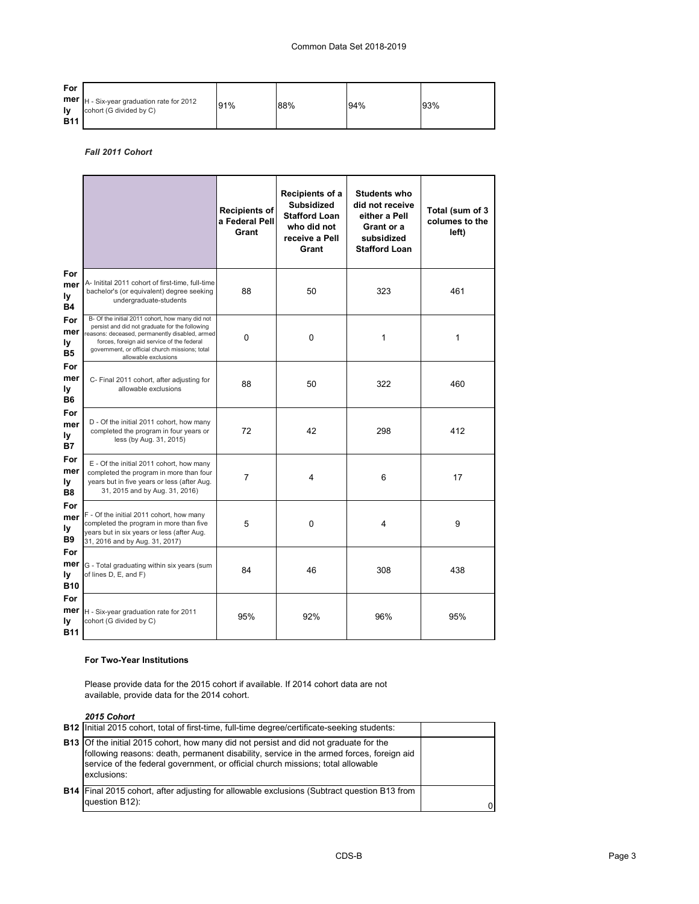# Common Data Set 2018-2019

| For        |                                                                                         |     |     |     |     |
|------------|-----------------------------------------------------------------------------------------|-----|-----|-----|-----|
|            | <b>mer</b> $H - Six-year graduation rate for 2012$<br><b>Iv</b> cohort (G divided by C) | 91% | 88% | 94% | 93% |
| <b>B11</b> |                                                                                         |     |     |     |     |

*Fall 2011 Cohort*

|                                |                                                                                                                                                                                                                                                                             | <b>Recipients of</b><br>a Federal Pell<br>Grant | Recipients of a<br><b>Subsidized</b><br><b>Stafford Loan</b><br>who did not<br>receive a Pell<br>Grant | <b>Students who</b><br>did not receive<br>either a Pell<br>Grant or a<br>subsidized<br><b>Stafford Loan</b> | Total (sum of 3<br>columes to the<br>left) |
|--------------------------------|-----------------------------------------------------------------------------------------------------------------------------------------------------------------------------------------------------------------------------------------------------------------------------|-------------------------------------------------|--------------------------------------------------------------------------------------------------------|-------------------------------------------------------------------------------------------------------------|--------------------------------------------|
| For<br>mer<br>ly<br><b>B4</b>  | A- Initital 2011 cohort of first-time, full-time<br>bachelor's (or equivalent) degree seeking<br>undergraduate-students                                                                                                                                                     | 88                                              | 50                                                                                                     | 323                                                                                                         | 461                                        |
| For<br>mer<br>ly<br><b>B5</b>  | B- Of the initial 2011 cohort, how many did not<br>persist and did not graduate for the following<br>reasons: deceased, permanently disabled, armed<br>forces, foreign aid service of the federal<br>government, or official church missions; total<br>allowable exclusions | $\mathbf 0$                                     | $\mathbf 0$                                                                                            | 1                                                                                                           | 1                                          |
| For<br>mer<br>ly<br><b>B6</b>  | C- Final 2011 cohort, after adjusting for<br>allowable exclusions                                                                                                                                                                                                           | 88                                              | 50                                                                                                     | 322                                                                                                         | 460                                        |
| For<br>mer<br>ly<br><b>B7</b>  | D - Of the initial 2011 cohort, how many<br>completed the program in four years or<br>less (by Aug. 31, 2015)                                                                                                                                                               | 72                                              | 42                                                                                                     | 298                                                                                                         | 412                                        |
| For<br>mer<br>ly<br><b>B8</b>  | E - Of the initial 2011 cohort, how many<br>completed the program in more than four<br>years but in five years or less (after Aug.<br>31, 2015 and by Aug. 31, 2016)                                                                                                        | 7                                               | 4                                                                                                      | 6                                                                                                           | 17                                         |
| For<br>mer<br>ly<br><b>B9</b>  | F - Of the initial 2011 cohort, how many<br>completed the program in more than five<br>years but in six years or less (after Aug.<br>31, 2016 and by Aug. 31, 2017)                                                                                                         | 5                                               | $\mathbf 0$                                                                                            | 4                                                                                                           | 9                                          |
| For<br>mer<br>ly<br><b>B10</b> | G - Total graduating within six years (sum<br>of lines D, E, and F)                                                                                                                                                                                                         | 84                                              | 46                                                                                                     | 308                                                                                                         | 438                                        |
| For<br>mer<br>ly<br><b>B11</b> | H - Six-year graduation rate for 2011<br>cohort (G divided by C)                                                                                                                                                                                                            | 95%                                             | 92%                                                                                                    | 96%                                                                                                         | 95%                                        |

## **For Two-Year Institutions**

Please provide data for the 2015 cohort if available. If 2014 cohort data are not available, provide data for the 2014 cohort.

*2015 Cohort*

| LUIU UUIIUI L                                                                                                                                                                                                                                                                              |  |
|--------------------------------------------------------------------------------------------------------------------------------------------------------------------------------------------------------------------------------------------------------------------------------------------|--|
| <b>B12</b> Initial 2015 cohort, total of first-time, full-time degree/certificate-seeking students:                                                                                                                                                                                        |  |
| <b>B13</b> Of the initial 2015 cohort, how many did not persist and did not graduate for the<br>following reasons: death, permanent disability, service in the armed forces, foreign aid<br>service of the federal government, or official church missions; total allowable<br>exclusions: |  |
| <b>B14</b> Final 2015 cohort, after adjusting for allowable exclusions (Subtract question B13 from<br>question B12):                                                                                                                                                                       |  |